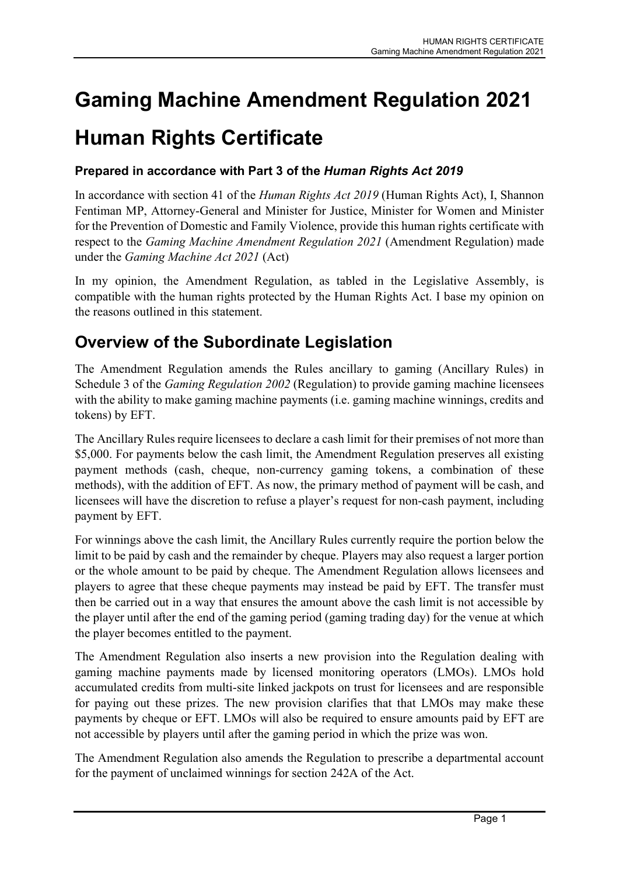# Gaming Machine Amendment Regulation 2021 Human Rights Certificate

### Prepared in accordance with Part 3 of the Human Rights Act 2019

In accordance with section 41 of the *Human Rights Act 2019* (Human Rights Act), I, Shannon Fentiman MP, Attorney-General and Minister for Justice, Minister for Women and Minister for the Prevention of Domestic and Family Violence, provide this human rights certificate with respect to the Gaming Machine Amendment Regulation 2021 (Amendment Regulation) made under the Gaming Machine Act 2021 (Act)

In my opinion, the Amendment Regulation, as tabled in the Legislative Assembly, is compatible with the human rights protected by the Human Rights Act. I base my opinion on the reasons outlined in this statement.

## Overview of the Subordinate Legislation

The Amendment Regulation amends the Rules ancillary to gaming (Ancillary Rules) in Schedule 3 of the Gaming Regulation 2002 (Regulation) to provide gaming machine licensees with the ability to make gaming machine payments (i.e. gaming machine winnings, credits and tokens) by EFT.

The Ancillary Rules require licensees to declare a cash limit for their premises of not more than \$5,000. For payments below the cash limit, the Amendment Regulation preserves all existing payment methods (cash, cheque, non-currency gaming tokens, a combination of these methods), with the addition of EFT. As now, the primary method of payment will be cash, and licensees will have the discretion to refuse a player's request for non-cash payment, including payment by EFT.

For winnings above the cash limit, the Ancillary Rules currently require the portion below the limit to be paid by cash and the remainder by cheque. Players may also request a larger portion or the whole amount to be paid by cheque. The Amendment Regulation allows licensees and players to agree that these cheque payments may instead be paid by EFT. The transfer must then be carried out in a way that ensures the amount above the cash limit is not accessible by the player until after the end of the gaming period (gaming trading day) for the venue at which the player becomes entitled to the payment.

The Amendment Regulation also inserts a new provision into the Regulation dealing with gaming machine payments made by licensed monitoring operators (LMOs). LMOs hold accumulated credits from multi-site linked jackpots on trust for licensees and are responsible for paying out these prizes. The new provision clarifies that that LMOs may make these payments by cheque or EFT. LMOs will also be required to ensure amounts paid by EFT are not accessible by players until after the gaming period in which the prize was won.

The Amendment Regulation also amends the Regulation to prescribe a departmental account for the payment of unclaimed winnings for section 242A of the Act.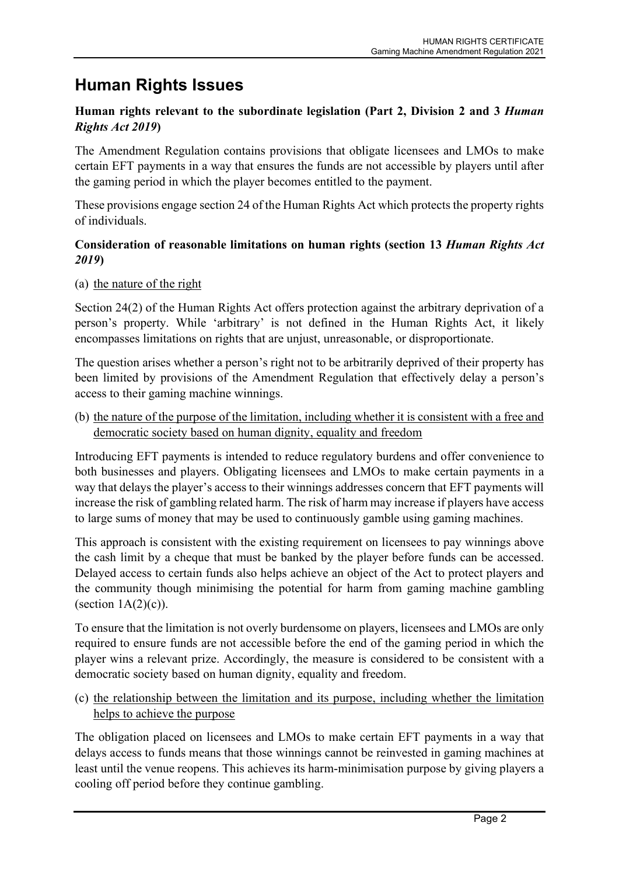## Human Rights Issues

#### Human rights relevant to the subordinate legislation (Part 2, Division 2 and 3 Human Rights Act 2019)

The Amendment Regulation contains provisions that obligate licensees and LMOs to make certain EFT payments in a way that ensures the funds are not accessible by players until after the gaming period in which the player becomes entitled to the payment.

These provisions engage section 24 of the Human Rights Act which protects the property rights of individuals.

#### Consideration of reasonable limitations on human rights (section 13 Human Rights Act 2019)

#### (a) the nature of the right

Section 24(2) of the Human Rights Act offers protection against the arbitrary deprivation of a person's property. While 'arbitrary' is not defined in the Human Rights Act, it likely encompasses limitations on rights that are unjust, unreasonable, or disproportionate.

The question arises whether a person's right not to be arbitrarily deprived of their property has been limited by provisions of the Amendment Regulation that effectively delay a person's access to their gaming machine winnings.

(b) the nature of the purpose of the limitation, including whether it is consistent with a free and democratic society based on human dignity, equality and freedom

Introducing EFT payments is intended to reduce regulatory burdens and offer convenience to both businesses and players. Obligating licensees and LMOs to make certain payments in a way that delays the player's access to their winnings addresses concern that EFT payments will increase the risk of gambling related harm. The risk of harm may increase if players have access to large sums of money that may be used to continuously gamble using gaming machines.

This approach is consistent with the existing requirement on licensees to pay winnings above the cash limit by a cheque that must be banked by the player before funds can be accessed. Delayed access to certain funds also helps achieve an object of the Act to protect players and the community though minimising the potential for harm from gaming machine gambling (section  $1A(2)(c)$ ).

To ensure that the limitation is not overly burdensome on players, licensees and LMOs are only required to ensure funds are not accessible before the end of the gaming period in which the player wins a relevant prize. Accordingly, the measure is considered to be consistent with a democratic society based on human dignity, equality and freedom.

(c) the relationship between the limitation and its purpose, including whether the limitation helps to achieve the purpose

The obligation placed on licensees and LMOs to make certain EFT payments in a way that delays access to funds means that those winnings cannot be reinvested in gaming machines at least until the venue reopens. This achieves its harm-minimisation purpose by giving players a cooling off period before they continue gambling.